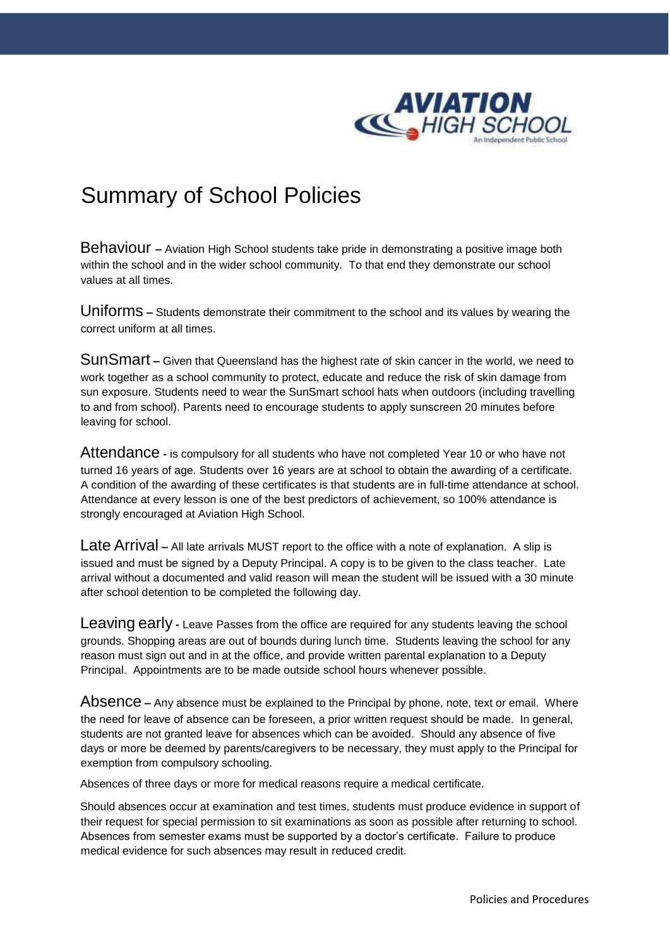

## Summary of School Policies

Behaviour **–** Aviation High School students take pride in demonstrating a positive image both within the school and in the wider school community. To that end they demonstrate our school values at all times.

Uniforms **–** Students demonstrate their commitment to the school and its values by wearing the correct uniform at all times.

SunSmart **–** Given that Queensland has the highest rate of skin cancer in the world, we need to work together as a school community to protect, educate and reduce the risk of skin damage from sun exposure. Students need to wear the SunSmart school hats when outdoors (including travelling to and from school). Parents need to encourage students to apply sunscreen 20 minutes before leaving for school.

Attendance **-** is compulsory for all students who have not completed Year 10 or who have not turned 16 years of age. Students over 16 years are at school to obtain the awarding of a certificate. A condition of the awarding of these certificates is that students are in full-time attendance at school. Attendance at every lesson is one of the best predictors of achievement, so 100% attendance is strongly encouraged at Aviation High School.

Late Arrival **–** All late arrivals MUST report to the office with a note of explanation. A slip is issued and must be signed by a Deputy Principal. A copy is to be given to the class teacher. Late arrival without a documented and valid reason will mean the student will be issued with a 30 minute after school detention to be completed the following day.

Leaving early **-** Leave Passes from the office are required for any students leaving the school grounds. Shopping areas are out of bounds during lunch time. Students leaving the school for any reason must sign out and in at the office, and provide written parental explanation to a Deputy Principal. Appointments are to be made outside school hours whenever possible.

Absence **–** Any absence must be explained to the Principal by phone, note, text or email. Where the need for leave of absence can be foreseen, a prior written request should be made. In general, students are not granted leave for absences which can be avoided. Should any absence of five days or more be deemed by parents/caregivers to be necessary, they must apply to the Principal for exemption from compulsory schooling.

Absences of three days or more for medical reasons require a medical certificate.

Should absences occur at examination and test times, students must produce evidence in support of their request for special permission to sit examinations as soon as possible after returning to school. Absences from semester exams must be supported by a doctor's certificate. Failure to produce medical evidence for such absences may result in reduced credit.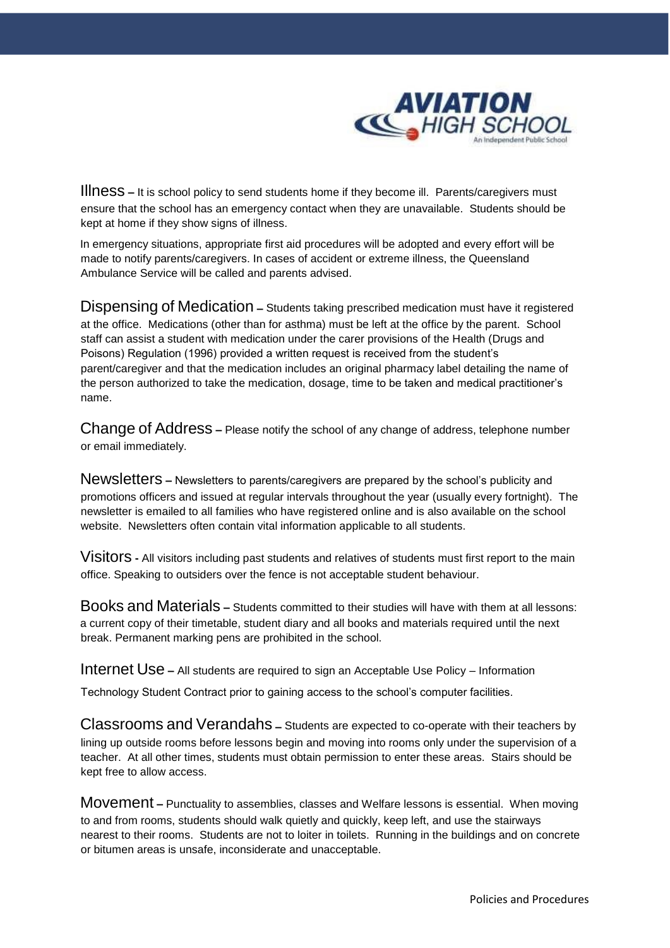

Illness **–** It is school policy to send students home if they become ill. Parents/caregivers must ensure that the school has an emergency contact when they are unavailable. Students should be kept at home if they show signs of illness.

In emergency situations, appropriate first aid procedures will be adopted and every effort will be made to notify parents/caregivers. In cases of accident or extreme illness, the Queensland Ambulance Service will be called and parents advised.

Dispensing of Medication **–** Students taking prescribed medication must have it registered at the office. Medications (other than for asthma) must be left at the office by the parent. School staff can assist a student with medication under the carer provisions of the Health (Drugs and Poisons) Regulation (1996) provided a written request is received from the student's parent/caregiver and that the medication includes an original pharmacy label detailing the name of the person authorized to take the medication, dosage, time to be taken and medical practitioner's name.

Change of Address **–** Please notify the school of any change of address, telephone number or email immediately.

Newsletters **–** Newsletters to parents/caregivers are prepared by the school's publicity and promotions officers and issued at regular intervals throughout the year (usually every fortnight). The newsletter is emailed to all families who have registered online and is also available on the school website. Newsletters often contain vital information applicable to all students.

Visitors **-** All visitors including past students and relatives of students must first report to the main office. Speaking to outsiders over the fence is not acceptable student behaviour.

Books and Materials **–** Students committed to their studies will have with them at all lessons: a current copy of their timetable, student diary and all books and materials required until the next break. Permanent marking pens are prohibited in the school.

Internet Use **–** All students are required to sign an Acceptable Use Policy – Information

Technology Student Contract prior to gaining access to the school's computer facilities.

Classrooms and Verandahs **–** Students are expected to co-operate with their teachers by lining up outside rooms before lessons begin and moving into rooms only under the supervision of a teacher. At all other times, students must obtain permission to enter these areas. Stairs should be kept free to allow access.

Movement **–** Punctuality to assemblies, classes and Welfare lessons is essential. When moving to and from rooms, students should walk quietly and quickly, keep left, and use the stairways nearest to their rooms. Students are not to loiter in toilets. Running in the buildings and on concrete or bitumen areas is unsafe, inconsiderate and unacceptable.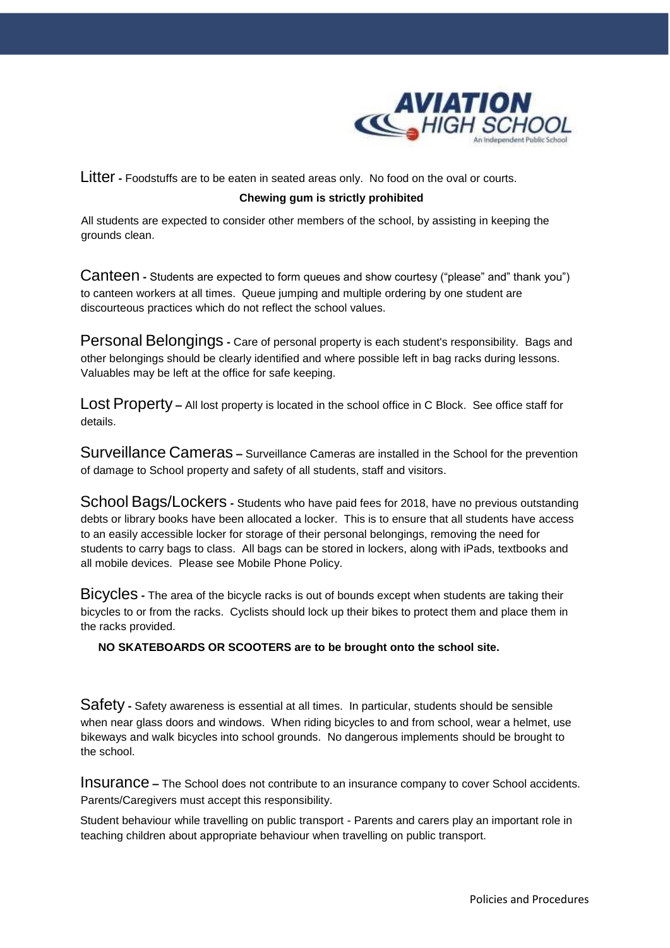

Litter **-** Foodstuffs are to be eaten in seated areas only. No food on the oval or courts. **Chewing gum is strictly prohibited** 

All students are expected to consider other members of the school, by assisting in keeping the grounds clean.

Canteen **-** Students are expected to form queues and show courtesy ("please" and" thank you") to canteen workers at all times. Queue jumping and multiple ordering by one student are discourteous practices which do not reflect the school values.

Personal Belongings **-** Care of personal property is each student's responsibility. Bags and other belongings should be clearly identified and where possible left in bag racks during lessons. Valuables may be left at the office for safe keeping.

Lost Property **–** All lost property is located in the school office in C Block. See office staff for details.

Surveillance Cameras **–** Surveillance Cameras are installed in the School for the prevention of damage to School property and safety of all students, staff and visitors.

School Bags/Lockers **-** Students who have paid fees for 2018, have no previous outstanding debts or library books have been allocated a locker. This is to ensure that all students have access to an easily accessible locker for storage of their personal belongings, removing the need for students to carry bags to class. All bags can be stored in lockers, along with iPads, textbooks and all mobile devices. Please see Mobile Phone Policy.

Bicycles **-** The area of the bicycle racks is out of bounds except when students are taking their bicycles to or from the racks. Cyclists should lock up their bikes to protect them and place them in the racks provided.

## **NO SKATEBOARDS OR SCOOTERS are to be brought onto the school site.**

Safety **-** Safety awareness is essential at all times. In particular, students should be sensible when near glass doors and windows. When riding bicycles to and from school, wear a helmet, use bikeways and walk bicycles into school grounds. No dangerous implements should be brought to the school.

Insurance **–** The School does not contribute to an insurance company to cover School accidents. Parents/Caregivers must accept this responsibility.

Student behaviour while travelling on public transport - Parents and carers play an important role in teaching children about appropriate behaviour when travelling on public transport.